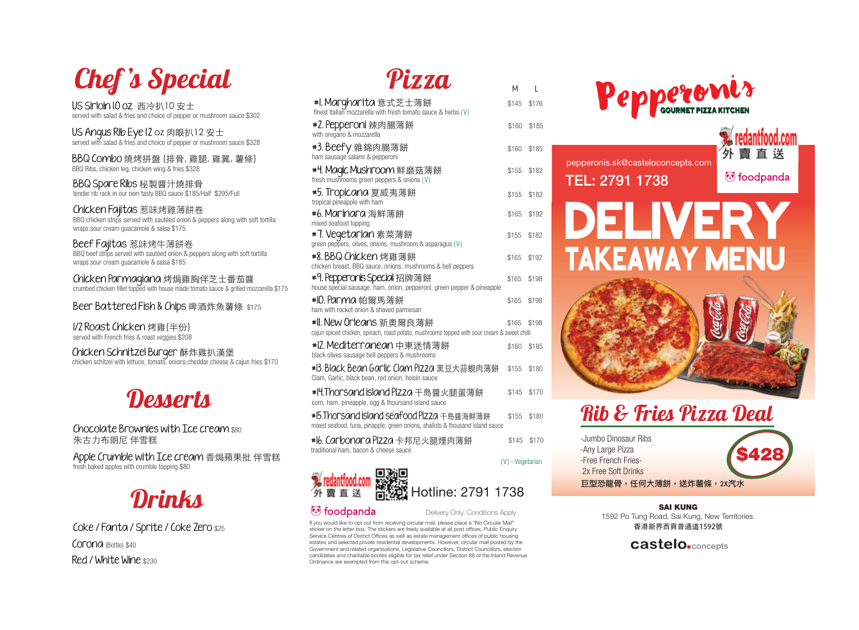# Chef 's Special

US Sirloin 10 oz 西冷扒10 安士 served with salad & fries and choice of pepper or mushroom sauce \$302

US Angus Rib Eye 12 oz 肉眼扒12 安士 served with salad & fries and choice of pepper or mushroom sauce \$328

BBQ Combo 燒烤拼盤 (排骨, 雞腿, 雞翼, 薯條) BBQ Ribs, chicken leg, chicken wing & fries \$328

BBQ Spare Ribs 秘製醬汁燒排骨 tender rib rack in our own tasty BBQ sauce \$185/Half \$295/Full

Chicken Fajitas 惹味烤雞薄餅卷 BBQ chicken strips served with sautéed onion & peppers along with soft tortilla wraps sour cream guacamole & salsa \$175

Beef Fajitas 惹味烤牛薄餅卷 BBQ beef strips served with sautéed onion & peppers along with soft tortilla wraps sour cream guacamole & salsa \$185

Chicken Parmagiana 烤焗雞胸伴芝士番茄醬 crumbed chicken fillet topped with house made tomato sauce & grilled mozzarella \$175

### Beer Battered Fish & Chips 啤酒炸魚薯條 \$175

1/2 Roast Chicken 烤雞(半份) served with French fries & roast veggies \$208

Chicken Schnitzel Burger 酥炸雞扒漢堡 chicken schitzel with lettuce, tomato, onions,cheddar cheese & cajun fries \$170



Chocolate Brownies with Ice cream \$80 朱古力布朗尼 伴雪糕

Apple Crumble with Ice cream 香焗蘋果批 伴雪糕 fresh baked apples with crumble topping \$80

# **Drinks**

Coke / Fanta / Sprite / Coke Zero \$25 Corona (Bottle) \$40 Red / White Wine \$230

# Pizza

| #I. Margharita 意式芝士薄餅<br>finest Italian mozzarella with fresh tomato sauce & herbs (V)                                                                               | \$145            | \$176 |  |
|----------------------------------------------------------------------------------------------------------------------------------------------------------------------|------------------|-------|--|
| #2. Pepperoni 辣肉腸薄餅<br>with oregano & mozzarella                                                                                                                     | \$160            | \$185 |  |
| <b>#3.Beefy</b> 雜錦肉腸薄餅<br>ham sausage salami & pepperoni                                                                                                             | \$160            | \$185 |  |
| #4. Maqic Mushroom 鮮磨菇薄餅<br>fresh mushrooms green peppers & onions (V)                                                                                               | \$155            | \$182 |  |
| #5. Tropicana 夏威夷薄餅<br>tropical pineapple with ham                                                                                                                   | \$155            | \$182 |  |
| #6. Marinara 海鮮薄餅                                                                                                                                                    | \$165            | \$192 |  |
| mixed seafood topping<br>#7. Vegetarian 素菜薄餅<br>green peppers, olives, onions, mushroom & asparagus (V)                                                              | \$155            | \$182 |  |
| #8. BBQ Chicken 烤雞薄餅                                                                                                                                                 | \$165            | \$192 |  |
| chicken breast, BBQ sauce, onions, mushrooms & bell peppers<br>#9. Pepperonis Special 招牌薄餅<br>house special sausage, ham, onion, pepperoni, green pepper & pineapple | \$165            | \$198 |  |
| #10. Parma 帕爾馬薄餅<br>ham with rocket onion & shaved parmesan                                                                                                          | \$165            | \$198 |  |
| *ll. New Orleans 新奧爾良薄餅<br>cajun spiced chicken, spinach, roast potato, mushrooms topped with sour cream & sweet chilli                                              | \$165            | \$198 |  |
| #l2. Mediterranean 中東迷情薄餅<br>black olives sausage bell peppers & mushrooms                                                                                           | \$160            | \$185 |  |
| #B. Black Bean Garlic Clam Pizza 黑豆大蒜蜆肉薄餅<br>Clam, Garlic, black bean, red onion, hoisin sauce                                                                       | \$155            | \$180 |  |
| #l4.Thorsand island Pizza 千島醬火腿蛋薄餅<br>corn, ham, pineapple, egg & thoursand island sauce                                                                             | \$145            | \$170 |  |
| #15.Thorsand island seafood Pizza 千島醬海鮮薄餅<br>mixed seafood, tuna, pinapple, green onions, shallots & thousand island sauce                                           | \$155            | \$180 |  |
| #l6. Carbonara Pizza 卡邦尼火腿煙肉薄餅<br>traditional ham, bacon & cheese sauce                                                                                              | \$145            | \$170 |  |
|                                                                                                                                                                      | (V) - Vegetarian |       |  |



### Rib & Fries Pizza Deal

-Jumbo Dinosaur Ribs -Any Large Pizza -Free French Fries- 2x Free Soft Drinks 巨型恐龍骨,任何大薄餅,送炸薯條,2X汽水 \$428

SAI KUNG 1592 Po Tung Road, Sai Kung, New Territories. 香港新界西貢普通道1592號

**castelo.** concepts



#### *v* foodpanda

Delivery Only. Conditions Apply

If you would like to opt out from receiving circular mail, please place a "No Circular Mail" sticker on the letter box. The stickers are freely available at all post offices, Public Enquiry Service Centres of District Offices as well as estate management offices of public housing estates and selected private residential developments. However, circular mail posted by the Government and related organisations, Legislative Councillors, District Councillors, election candidates and charitable bodies eligible for tax relief under Section 88 of the Inland Revenue Ordinance are exempted from this opt-out scheme.